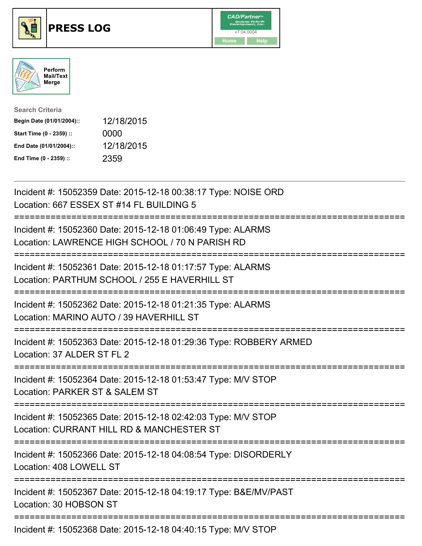





| <b>Search Criteria</b>    |            |
|---------------------------|------------|
| Begin Date (01/01/2004):: | 12/18/2015 |
| Start Time (0 - 2359) ::  | 0000       |
| End Date (01/01/2004)::   | 12/18/2015 |
| End Time (0 - 2359) ::    | 2359       |

| Incident #: 15052359 Date: 2015-12-18 00:38:17 Type: NOISE ORD<br>Location: 667 ESSEX ST #14 FL BUILDING 5                                         |
|----------------------------------------------------------------------------------------------------------------------------------------------------|
| Incident #: 15052360 Date: 2015-12-18 01:06:49 Type: ALARMS<br>Location: LAWRENCE HIGH SCHOOL / 70 N PARISH RD                                     |
| Incident #: 15052361 Date: 2015-12-18 01:17:57 Type: ALARMS<br>Location: PARTHUM SCHOOL / 255 E HAVERHILL ST                                       |
| Incident #: 15052362 Date: 2015-12-18 01:21:35 Type: ALARMS<br>Location: MARINO AUTO / 39 HAVERHILL ST                                             |
| Incident #: 15052363 Date: 2015-12-18 01:29:36 Type: ROBBERY ARMED<br>Location: 37 ALDER ST FL 2                                                   |
| Incident #: 15052364 Date: 2015-12-18 01:53:47 Type: M/V STOP<br>Location: PARKER ST & SALEM ST<br>----------                                      |
| Incident #: 15052365 Date: 2015-12-18 02:42:03 Type: M/V STOP<br>Location: CURRANT HILL RD & MANCHESTER ST<br>;=================================== |
| Incident #: 15052366 Date: 2015-12-18 04:08:54 Type: DISORDERLY<br>Location: 408 LOWELL ST                                                         |
| Incident #: 15052367 Date: 2015-12-18 04:19:17 Type: B&E/MV/PAST<br>Location: 30 HOBSON ST                                                         |
| Incident #: 15052368 Date: 2015-12-18 04:40:15 Type: M/V STOP                                                                                      |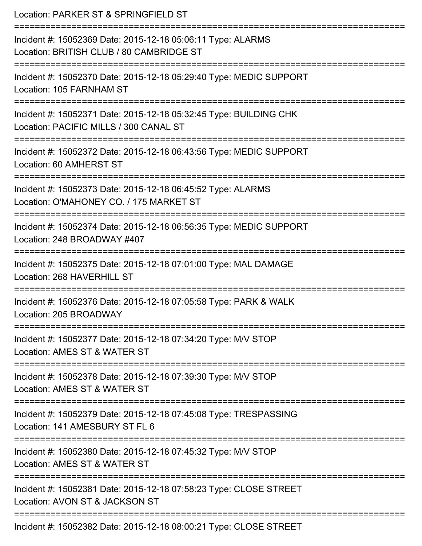| Location: PARKER ST & SPRINGFIELD ST                                                                                                |
|-------------------------------------------------------------------------------------------------------------------------------------|
| Incident #: 15052369 Date: 2015-12-18 05:06:11 Type: ALARMS<br>Location: BRITISH CLUB / 80 CAMBRIDGE ST<br>===================      |
| Incident #: 15052370 Date: 2015-12-18 05:29:40 Type: MEDIC SUPPORT<br>Location: 105 FARNHAM ST<br>-----------------------------     |
| Incident #: 15052371 Date: 2015-12-18 05:32:45 Type: BUILDING CHK<br>Location: PACIFIC MILLS / 300 CANAL ST                         |
| Incident #: 15052372 Date: 2015-12-18 06:43:56 Type: MEDIC SUPPORT<br>Location: 60 AMHERST ST                                       |
| Incident #: 15052373 Date: 2015-12-18 06:45:52 Type: ALARMS<br>Location: O'MAHONEY CO. / 175 MARKET ST<br>:======================== |
| Incident #: 15052374 Date: 2015-12-18 06:56:35 Type: MEDIC SUPPORT<br>Location: 248 BROADWAY #407                                   |
| Incident #: 15052375 Date: 2015-12-18 07:01:00 Type: MAL DAMAGE<br>Location: 268 HAVERHILL ST<br>----------------------             |
| Incident #: 15052376 Date: 2015-12-18 07:05:58 Type: PARK & WALK<br>Location: 205 BROADWAY                                          |
| Incident #: 15052377 Date: 2015-12-18 07:34:20 Type: M/V STOP<br>Location: AMES ST & WATER ST                                       |
| Incident #: 15052378 Date: 2015-12-18 07:39:30 Type: M/V STOP<br>Location: AMES ST & WATER ST                                       |
| Incident #: 15052379 Date: 2015-12-18 07:45:08 Type: TRESPASSING<br>Location: 141 AMESBURY ST FL 6                                  |
| Incident #: 15052380 Date: 2015-12-18 07:45:32 Type: M/V STOP<br>Location: AMES ST & WATER ST                                       |
| Incident #: 15052381 Date: 2015-12-18 07:58:23 Type: CLOSE STREET<br>Location: AVON ST & JACKSON ST                                 |
| Incident #: 15052382 Date: 2015-12-18 08:00:21 Type: CLOSE STREET                                                                   |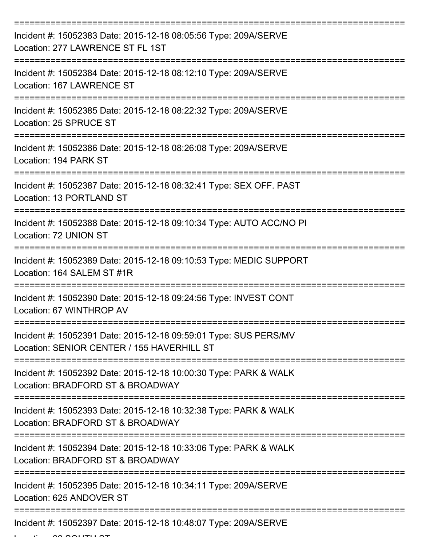| Incident #: 15052383 Date: 2015-12-18 08:05:56 Type: 209A/SERVE<br>Location: 277 LAWRENCE ST FL 1ST            |
|----------------------------------------------------------------------------------------------------------------|
| Incident #: 15052384 Date: 2015-12-18 08:12:10 Type: 209A/SERVE<br>Location: 167 LAWRENCE ST                   |
| Incident #: 15052385 Date: 2015-12-18 08:22:32 Type: 209A/SERVE<br>Location: 25 SPRUCE ST                      |
| Incident #: 15052386 Date: 2015-12-18 08:26:08 Type: 209A/SERVE<br>Location: 194 PARK ST                       |
| Incident #: 15052387 Date: 2015-12-18 08:32:41 Type: SEX OFF. PAST<br>Location: 13 PORTLAND ST                 |
| Incident #: 15052388 Date: 2015-12-18 09:10:34 Type: AUTO ACC/NO PI<br>Location: 72 UNION ST                   |
| Incident #: 15052389 Date: 2015-12-18 09:10:53 Type: MEDIC SUPPORT<br>Location: 164 SALEM ST #1R               |
| Incident #: 15052390 Date: 2015-12-18 09:24:56 Type: INVEST CONT<br>Location: 67 WINTHROP AV                   |
| Incident #: 15052391 Date: 2015-12-18 09:59:01 Type: SUS PERS/MV<br>Location: SENIOR CENTER / 155 HAVERHILL ST |
| Incident #: 15052392 Date: 2015-12-18 10:00:30 Type: PARK & WALK<br>Location: BRADFORD ST & BROADWAY           |
| Incident #: 15052393 Date: 2015-12-18 10:32:38 Type: PARK & WALK<br>Location: BRADFORD ST & BROADWAY           |
| Incident #: 15052394 Date: 2015-12-18 10:33:06 Type: PARK & WALK<br>Location: BRADFORD ST & BROADWAY           |
| Incident #: 15052395 Date: 2015-12-18 10:34:11 Type: 209A/SERVE<br>Location: 625 ANDOVER ST                    |
| Incident #: 15052397 Date: 2015-12-18 10:48:07 Type: 209A/SERVE                                                |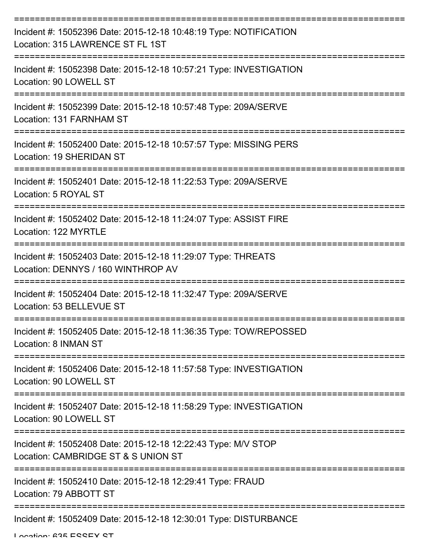| Incident #: 15052396 Date: 2015-12-18 10:48:19 Type: NOTIFICATION<br>Location: 315 LAWRENCE ST FL 1ST |
|-------------------------------------------------------------------------------------------------------|
| Incident #: 15052398 Date: 2015-12-18 10:57:21 Type: INVESTIGATION<br>Location: 90 LOWELL ST          |
| Incident #: 15052399 Date: 2015-12-18 10:57:48 Type: 209A/SERVE<br>Location: 131 FARNHAM ST           |
| Incident #: 15052400 Date: 2015-12-18 10:57:57 Type: MISSING PERS<br>Location: 19 SHERIDAN ST         |
| Incident #: 15052401 Date: 2015-12-18 11:22:53 Type: 209A/SERVE<br>Location: 5 ROYAL ST               |
| Incident #: 15052402 Date: 2015-12-18 11:24:07 Type: ASSIST FIRE<br>Location: 122 MYRTLE              |
| Incident #: 15052403 Date: 2015-12-18 11:29:07 Type: THREATS<br>Location: DENNYS / 160 WINTHROP AV    |
| Incident #: 15052404 Date: 2015-12-18 11:32:47 Type: 209A/SERVE<br>Location: 53 BELLEVUE ST           |
| Incident #: 15052405 Date: 2015-12-18 11:36:35 Type: TOW/REPOSSED<br>Location: 8 INMAN ST             |
| Incident #: 15052406 Date: 2015-12-18 11:57:58 Type: INVESTIGATION<br>Location: 90 LOWELL ST          |
| Incident #: 15052407 Date: 2015-12-18 11:58:29 Type: INVESTIGATION<br>Location: 90 LOWELL ST          |
| Incident #: 15052408 Date: 2015-12-18 12:22:43 Type: M/V STOP<br>Location: CAMBRIDGE ST & S UNION ST  |
| Incident #: 15052410 Date: 2015-12-18 12:29:41 Type: FRAUD<br>Location: 79 ABBOTT ST                  |
| Incident #: 15052409 Date: 2015-12-18 12:30:01 Type: DISTURBANCE                                      |

Location: 635 ESSEY ST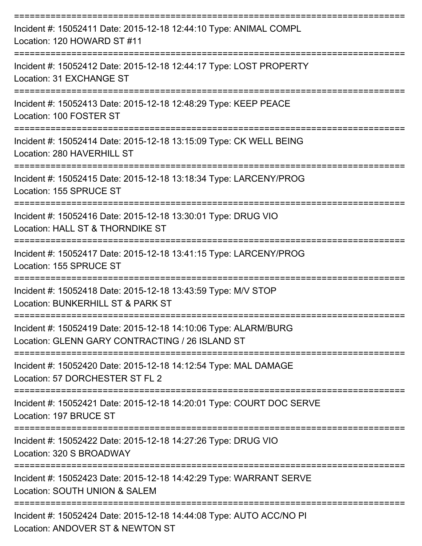| Incident #: 15052411 Date: 2015-12-18 12:44:10 Type: ANIMAL COMPL<br>Location: 120 HOWARD ST #11<br>===================================  |
|------------------------------------------------------------------------------------------------------------------------------------------|
| Incident #: 15052412 Date: 2015-12-18 12:44:17 Type: LOST PROPERTY<br>Location: 31 EXCHANGE ST<br>------------------<br>---------------- |
| Incident #: 15052413 Date: 2015-12-18 12:48:29 Type: KEEP PEACE<br>Location: 100 FOSTER ST                                               |
| Incident #: 15052414 Date: 2015-12-18 13:15:09 Type: CK WELL BEING<br>Location: 280 HAVERHILL ST                                         |
| Incident #: 15052415 Date: 2015-12-18 13:18:34 Type: LARCENY/PROG<br>Location: 155 SPRUCE ST                                             |
| Incident #: 15052416 Date: 2015-12-18 13:30:01 Type: DRUG VIO<br>Location: HALL ST & THORNDIKE ST                                        |
| Incident #: 15052417 Date: 2015-12-18 13:41:15 Type: LARCENY/PROG<br>Location: 155 SPRUCE ST                                             |
| Incident #: 15052418 Date: 2015-12-18 13:43:59 Type: M/V STOP<br>Location: BUNKERHILL ST & PARK ST                                       |
| Incident #: 15052419 Date: 2015-12-18 14:10:06 Type: ALARM/BURG<br>Location: GLENN GARY CONTRACTING / 26 ISLAND ST                       |
| Incident #: 15052420 Date: 2015-12-18 14:12:54 Type: MAL DAMAGE<br>Location: 57 DORCHESTER ST FL 2                                       |
| Incident #: 15052421 Date: 2015-12-18 14:20:01 Type: COURT DOC SERVE<br>Location: 197 BRUCE ST                                           |
| Incident #: 15052422 Date: 2015-12-18 14:27:26 Type: DRUG VIO<br>Location: 320 S BROADWAY                                                |
| Incident #: 15052423 Date: 2015-12-18 14:42:29 Type: WARRANT SERVE<br>Location: SOUTH UNION & SALEM                                      |
| Incident #: 15052424 Date: 2015-12-18 14:44:08 Type: AUTO ACC/NO PI<br>Location: ANDOVER ST & NEWTON ST                                  |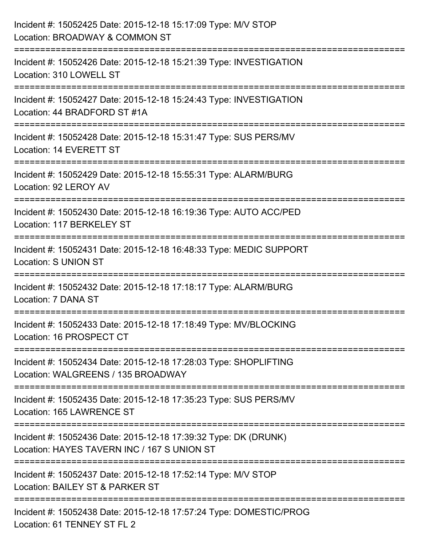| Incident #: 15052425 Date: 2015-12-18 15:17:09 Type: M/V STOP<br>Location: BROADWAY & COMMON ST                                         |
|-----------------------------------------------------------------------------------------------------------------------------------------|
| .====================================<br>Incident #: 15052426 Date: 2015-12-18 15:21:39 Type: INVESTIGATION<br>Location: 310 LOWELL ST  |
| Incident #: 15052427 Date: 2015-12-18 15:24:43 Type: INVESTIGATION<br>Location: 44 BRADFORD ST #1A<br>================================= |
| Incident #: 15052428 Date: 2015-12-18 15:31:47 Type: SUS PERS/MV<br>Location: 14 EVERETT ST                                             |
| Incident #: 15052429 Date: 2015-12-18 15:55:31 Type: ALARM/BURG<br>Location: 92 LEROY AV                                                |
| Incident #: 15052430 Date: 2015-12-18 16:19:36 Type: AUTO ACC/PED<br>Location: 117 BERKELEY ST                                          |
| :==================<br>Incident #: 15052431 Date: 2015-12-18 16:48:33 Type: MEDIC SUPPORT<br><b>Location: S UNION ST</b>                |
| Incident #: 15052432 Date: 2015-12-18 17:18:17 Type: ALARM/BURG<br>Location: 7 DANA ST                                                  |
| Incident #: 15052433 Date: 2015-12-18 17:18:49 Type: MV/BLOCKING<br>Location: 16 PROSPECT CT                                            |
| Incident #: 15052434 Date: 2015-12-18 17:28:03 Type: SHOPLIFTING<br>Location: WALGREENS / 135 BROADWAY                                  |
| Incident #: 15052435 Date: 2015-12-18 17:35:23 Type: SUS PERS/MV<br>Location: 165 LAWRENCE ST                                           |
| Incident #: 15052436 Date: 2015-12-18 17:39:32 Type: DK (DRUNK)<br>Location: HAYES TAVERN INC / 167 S UNION ST                          |
| Incident #: 15052437 Date: 2015-12-18 17:52:14 Type: M/V STOP<br>Location: BAILEY ST & PARKER ST                                        |
| Incident #: 15052438 Date: 2015-12-18 17:57:24 Type: DOMESTIC/PROG<br>Location: 61 TENNEY ST FL 2                                       |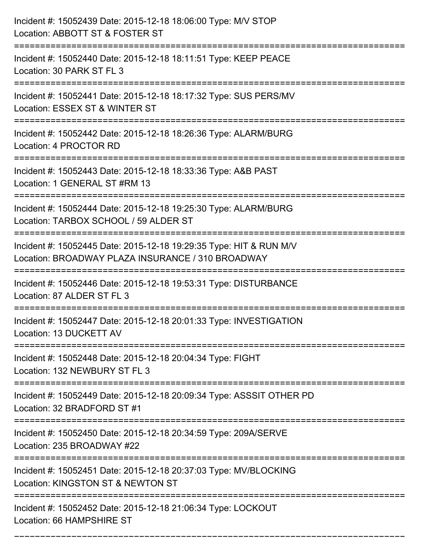| Incident #: 15052439 Date: 2015-12-18 18:06:00 Type: M/V STOP<br>Location: ABBOTT ST & FOSTER ST                                                         |
|----------------------------------------------------------------------------------------------------------------------------------------------------------|
| Incident #: 15052440 Date: 2015-12-18 18:11:51 Type: KEEP PEACE<br>Location: 30 PARK ST FL 3                                                             |
| Incident #: 15052441 Date: 2015-12-18 18:17:32 Type: SUS PERS/MV<br>Location: ESSEX ST & WINTER ST<br>===========================                        |
| Incident #: 15052442 Date: 2015-12-18 18:26:36 Type: ALARM/BURG<br>Location: 4 PROCTOR RD                                                                |
| Incident #: 15052443 Date: 2015-12-18 18:33:36 Type: A&B PAST<br>Location: 1 GENERAL ST #RM 13                                                           |
| Incident #: 15052444 Date: 2015-12-18 19:25:30 Type: ALARM/BURG<br>Location: TARBOX SCHOOL / 59 ALDER ST                                                 |
| Incident #: 15052445 Date: 2015-12-18 19:29:35 Type: HIT & RUN M/V<br>Location: BROADWAY PLAZA INSURANCE / 310 BROADWAY<br>:============================ |
| Incident #: 15052446 Date: 2015-12-18 19:53:31 Type: DISTURBANCE<br>Location: 87 ALDER ST FL 3                                                           |
| Incident #: 15052447 Date: 2015-12-18 20:01:33 Type: INVESTIGATION<br>Location: 13 DUCKETT AV                                                            |
| Incident #: 15052448 Date: 2015-12-18 20:04:34 Type: FIGHT<br>Location: 132 NEWBURY ST FL 3                                                              |
| Incident #: 15052449 Date: 2015-12-18 20:09:34 Type: ASSSIT OTHER PD<br>Location: 32 BRADFORD ST #1                                                      |
| Incident #: 15052450 Date: 2015-12-18 20:34:59 Type: 209A/SERVE<br>Location: 235 BROADWAY #22                                                            |
| Incident #: 15052451 Date: 2015-12-18 20:37:03 Type: MV/BLOCKING<br>Location: KINGSTON ST & NEWTON ST                                                    |
| Incident #: 15052452 Date: 2015-12-18 21:06:34 Type: LOCKOUT<br>Location: 66 HAMPSHIRE ST                                                                |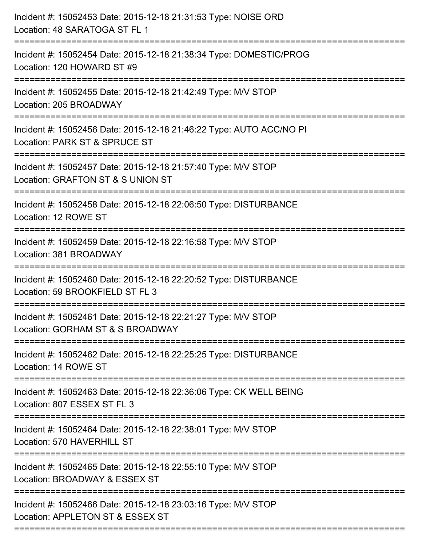| Incident #: 15052453 Date: 2015-12-18 21:31:53 Type: NOISE ORD<br>Location: 48 SARATOGA ST FL 1                           |
|---------------------------------------------------------------------------------------------------------------------------|
| Incident #: 15052454 Date: 2015-12-18 21:38:34 Type: DOMESTIC/PROG<br>Location: 120 HOWARD ST #9                          |
| Incident #: 15052455 Date: 2015-12-18 21:42:49 Type: M/V STOP<br>Location: 205 BROADWAY                                   |
| Incident #: 15052456 Date: 2015-12-18 21:46:22 Type: AUTO ACC/NO PI<br>Location: PARK ST & SPRUCE ST                      |
| Incident #: 15052457 Date: 2015-12-18 21:57:40 Type: M/V STOP<br>Location: GRAFTON ST & S UNION ST<br>=================== |
| Incident #: 15052458 Date: 2015-12-18 22:06:50 Type: DISTURBANCE<br>Location: 12 ROWE ST                                  |
| Incident #: 15052459 Date: 2015-12-18 22:16:58 Type: M/V STOP<br>Location: 381 BROADWAY                                   |
| Incident #: 15052460 Date: 2015-12-18 22:20:52 Type: DISTURBANCE<br>Location: 59 BROOKFIELD ST FL 3                       |
| Incident #: 15052461 Date: 2015-12-18 22:21:27 Type: M/V STOP<br>Location: GORHAM ST & S BROADWAY                         |
| Incident #: 15052462 Date: 2015-12-18 22:25:25 Type: DISTURBANCE<br>Location: 14 ROWE ST                                  |
| Incident #: 15052463 Date: 2015-12-18 22:36:06 Type: CK WELL BEING<br>Location: 807 ESSEX ST FL 3                         |
| Incident #: 15052464 Date: 2015-12-18 22:38:01 Type: M/V STOP<br>Location: 570 HAVERHILL ST                               |
| Incident #: 15052465 Date: 2015-12-18 22:55:10 Type: M/V STOP<br>Location: BROADWAY & ESSEX ST                            |
| Incident #: 15052466 Date: 2015-12-18 23:03:16 Type: M/V STOP<br>Location: APPLETON ST & ESSEX ST                         |
|                                                                                                                           |